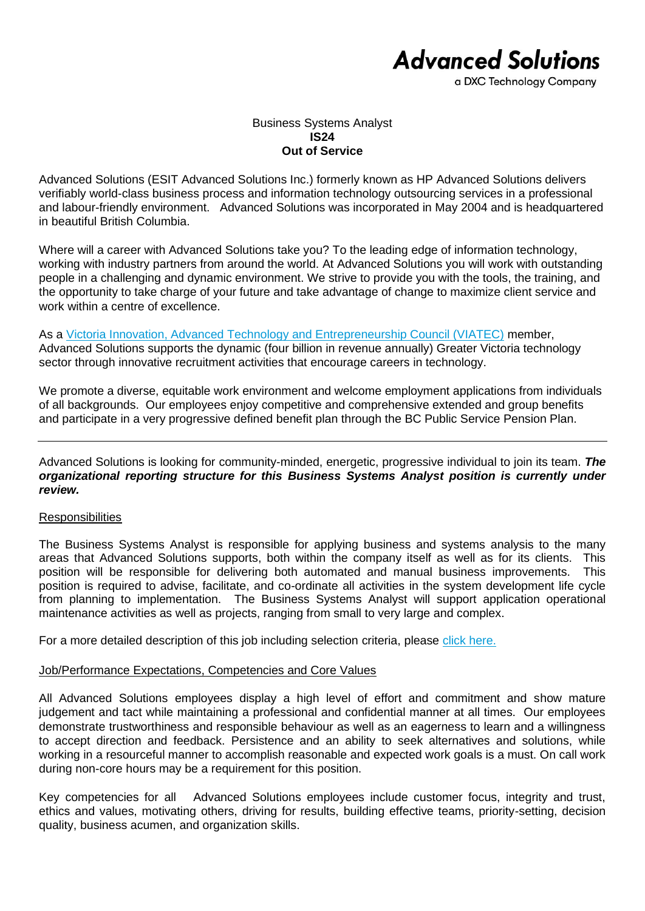# **Advanced Solutions**

a DXC Technology Company

#### Business Systems Analyst **IS24 Out of Service**

Advanced Solutions (ESIT Advanced Solutions Inc.) formerly known as HP Advanced Solutions delivers verifiably world-class business process and information technology outsourcing services in a professional and labour-friendly environment. Advanced Solutions was incorporated in May 2004 and is headquartered in beautiful British Columbia.

Where will a career with Advanced Solutions take you? To the leading edge of information technology, working with industry partners from around the world. At Advanced Solutions you will work with outstanding people in a challenging and dynamic environment. We strive to provide you with the tools, the training, and the opportunity to take charge of your future and take advantage of change to maximize client service and work within a centre of excellence.

As a [Victoria Innovation, Advanced Technology and Entrepreneurship Council \(VIATEC\)](http://www.viatec.ca/) member, Advanced Solutions supports the dynamic (four billion in revenue annually) Greater Victoria technology sector through innovative recruitment activities that encourage careers in technology.

We promote a diverse, equitable work environment and welcome employment applications from individuals of all backgrounds. Our employees enjoy competitive and comprehensive extended and group benefits and participate in a very progressive defined benefit plan through the BC Public Service Pension Plan.

Advanced Solutions is looking for community-minded, energetic, progressive individual to join its team. *The organizational reporting structure for this Business Systems Analyst position is currently under review.*

### **Responsibilities**

The Business Systems Analyst is responsible for applying business and systems analysis to the many areas that Advanced Solutions supports, both within the company itself as well as for its clients. This position will be responsible for delivering both automated and manual business improvements. This position is required to advise, facilitate, and co-ordinate all activities in the system development life cycle from planning to implementation. The Business Systems Analyst will support application operational maintenance activities as well as projects, ranging from small to very large and complex.

For a more detailed description of this job including selection criteria, please [click here.](https://www.dxcas.com/images/DXCAS/Careers/pdf/IS24_Business_Systems_Analyst_JD.pdf)

### Job/Performance Expectations, Competencies and Core Values

All Advanced Solutions employees display a high level of effort and commitment and show mature judgement and tact while maintaining a professional and confidential manner at all times. Our employees demonstrate trustworthiness and responsible behaviour as well as an eagerness to learn and a willingness to accept direction and feedback. Persistence and an ability to seek alternatives and solutions, while working in a resourceful manner to accomplish reasonable and expected work goals is a must. On call work during non-core hours may be a requirement for this position.

Key competencies for all Advanced Solutions employees include customer focus, integrity and trust, ethics and values, motivating others, driving for results, building effective teams, priority-setting, decision quality, business acumen, and organization skills.